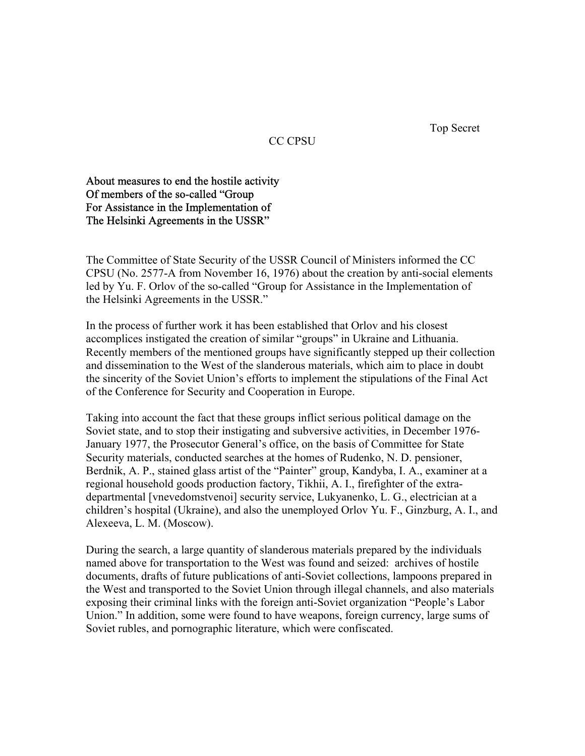Top Secret

## CC CPSU

About measures to end the hostile activity Of members of the so-called "Group For Assistance in the Implementation of The Helsinki Agreements in the USSR"

The Committee of State Security of the USSR Council of Ministers informed the CC CPSU (No. 2577-A from November 16, 1976) about the creation by anti-social elements led by Yu. F. Orlov of the so-called "Group for Assistance in the Implementation of the Helsinki Agreements in the USSR."

In the process of further work it has been established that Orlov and his closest accomplices instigated the creation of similar "groups" in Ukraine and Lithuania. Recently members of the mentioned groups have significantly stepped up their collection and dissemination to the West of the slanderous materials, which aim to place in doubt the sincerity of the Soviet Union's efforts to implement the stipulations of the Final Act of the Conference for Security and Cooperation in Europe.

Taking into account the fact that these groups inflict serious political damage on the Soviet state, and to stop their instigating and subversive activities, in December 1976- January 1977, the Prosecutor General's office, on the basis of Committee for State Security materials, conducted searches at the homes of Rudenko, N. D. pensioner, Berdnik, A. P., stained glass artist of the "Painter" group, Kandyba, I. A., examiner at a regional household goods production factory, Tikhii, A. I., firefighter of the extradepartmental [vnevedomstvenoi] security service, Lukyanenko, L. G., electrician at a children's hospital (Ukraine), and also the unemployed Orlov Yu. F., Ginzburg, A. I., and Alexeeva, L. M. (Moscow).

During the search, a large quantity of slanderous materials prepared by the individuals named above for transportation to the West was found and seized: archives of hostile documents, drafts of future publications of anti-Soviet collections, lampoons prepared in the West and transported to the Soviet Union through illegal channels, and also materials exposing their criminal links with the foreign anti-Soviet organization "People's Labor Union." In addition, some were found to have weapons, foreign currency, large sums of Soviet rubles, and pornographic literature, which were confiscated.